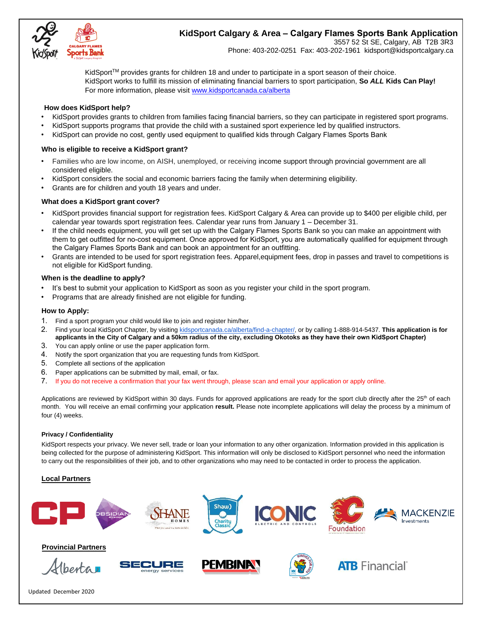

# **KidSport Calgary & Area – Calgary Flames Sports Bank Application**

3557 52 St SE, Calgary, AB T2B 3R3 Phone: 403-202-0251 Fax: 403-202-1961 kidsport@kidsportcalgary.ca

KidSport<sup>TM</sup> provides grants for children 18 and under to participate in a sport season of their choice. KidSport works to fulfill its mission of eliminating financial barriers to sport participation, **So** *ALL* **Kids Can Play!**  For more information, please visi[t www.kidsportcanada.ca/alberta](file:///G:/2017%20applications/www.kidsportcanada.ca/alberta)

#### **How does KidSport help?**

- KidSport provides grants to children from families facing financial barriers, so they can participate in registered sport programs.
- KidSport supports programs that provide the child with a sustained sport experience led by qualified instructors.
- KidSport can provide no cost, gently used equipment to qualified kids through Calgary Flames Sports Bank

### **Who is eligible to receive a KidSport grant?**

- Families who are low income, on AISH, unemployed, or receiving income support through provincial government are all considered eligible.
- KidSport considers the social and economic barriers facing the family when determining eligibility.
- Grants are for children and youth 18 years and under.

### **What does a KidSport grant cover?**

- KidSport provides financial support for registration fees. KidSport Calgary & Area can provide up to \$400 per eligible child, per calendar year towards sport registration fees. Calendar year runs from January 1 – December 31.
- If the child needs equipment, you will get set up with the Calgary Flames Sports Bank so you can make an appointment with them to get outfitted for no-cost equipment. Once approved for KidSport, you are automatically qualified for equipment through the Calgary Flames Sports Bank and can book an appointment for an outfitting.
- Grants are intended to be used for sport registration fees. Apparel,equipment fees, drop in passes and travel to competitions is not eligible for KidSport funding.

#### **When is the deadline to apply?**

- It's best to submit your application to KidSport as soon as you register your child in the sport program.
- Programs that are already finished are not eligible for funding.

#### **How to Apply:**

- 1. Find a sport program your child would like to join and register him/her.
- 2. Find your local KidSport Chapter, by visiting [kidsportcanada.ca/alberta/find-a-chapter/,](http://kidsportcanada.ca/alberta/find-a-chapter/) or by calling [1-888-914-5437](tel:(888)%20914-5437). **This application is for applicants in the City of Calgary and a 50km radius of the city, excluding Okotoks as they have their own KidSport Chapter)**
- 3. You can apply online or use the paper application form.
- 4. Notify the sport organization that you are requesting funds from KidSport.
- 5. Complete all sections of the application
- 6. Paper applications can be submitted by mail, email, or fax.
- 7. If you do not receive a confirmation that your fax went through, please scan and email your application or apply online.

Applications are reviewed by KidSport within 30 days. Funds for approved applications are ready for the sport club directly after the 25<sup>th</sup> of each month. You will receive an email confirming your application **result.** Please note incomplete applications will delay the process by a minimum of four (4) weeks.

#### **Privacy / Confidentiality**

KidSport respects your privacy. We never sell, trade or loan your information to any other organization. Information provided in this application is being collected for the purpose of administering KidSport. This information will only be disclosed to KidSport personnel who need the information to carry out the responsibilities of their job, and to other organizations who may need to be contacted in order to process the application.

#### **Local Partners**



## **Provincial Partners**











**ATB** Financial®